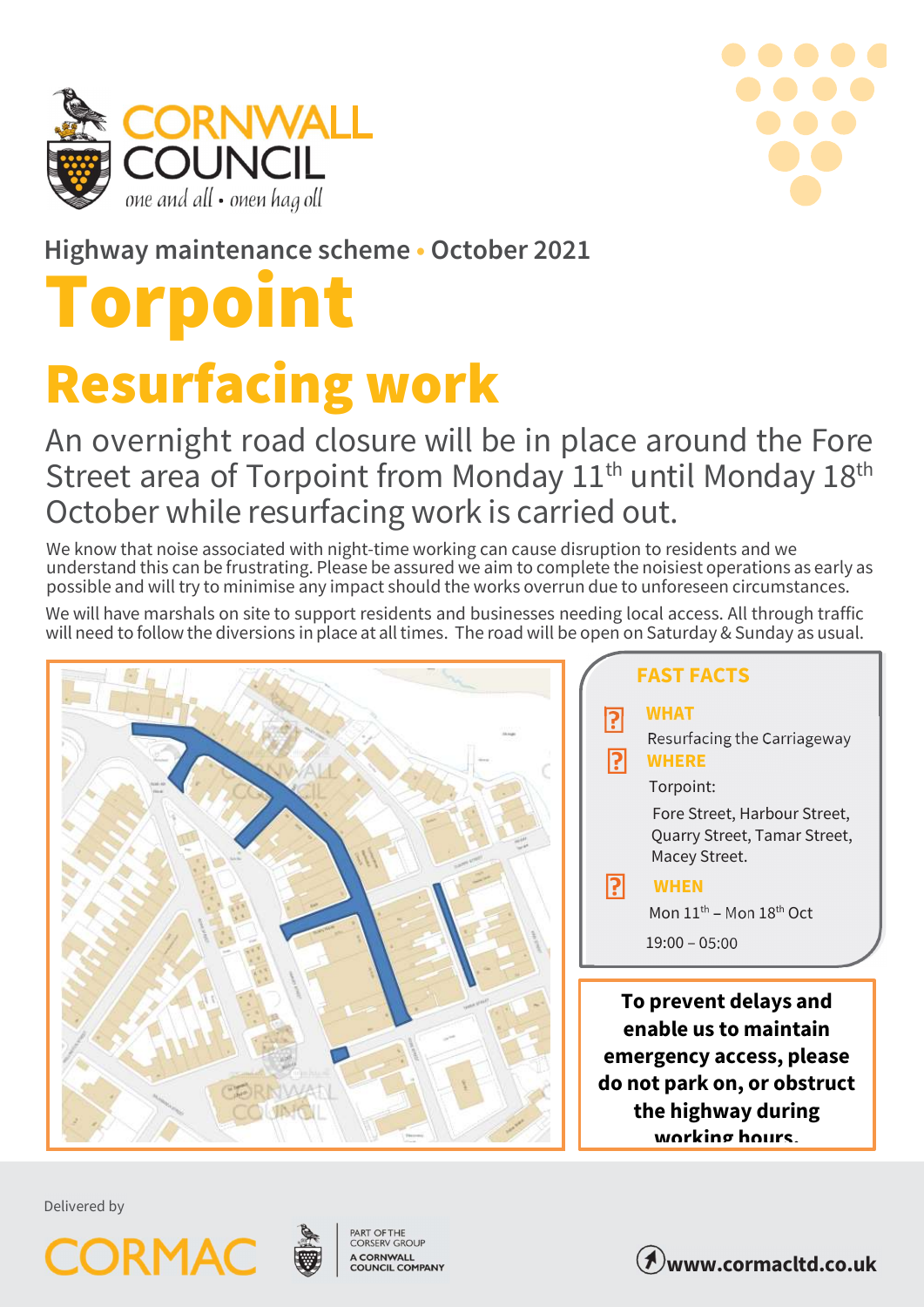



Highway maintenance scheme • October 2021

# Torpoint Resurfacing work

## An overnight road closure will be in place around the Fore Street area of Torpoint from Monday 11<sup>th</sup> until Monday 18<sup>th</sup> October while resurfacing work is carried out.

We know that noise associated with night-time working can cause disruption to residents and we understand this can be frustrating. Please be assured we aim to complete the noisiest operations as early as possible and will try to minimise any impact should the works overrun due to unforeseen circumstances.

We will have marshals on site to support residents and businesses needing local access. All through traffic will need to follow the diversions in place at all times. The road will be open on Saturday & Sunday as usual.



#### **P**<br>Resurfacing the Carriageway FAST FACTS WHAT Torpoint: Fore Street, Harbour Street, Quarry Street, Tamar Street, Macey Street. Mon  $11^{th}$  – Mon  $18^{th}$  Oct 19:00 – 05:00 WHERE To prevent delays and enable us to maintain **P** WHEN P

emergency access, please do not park on, or obstruct the highway during working hours.

Delivered by





PART OF THE<br>CORSERV GROUP A CORNWALL<br>COUNCIL COMPANY